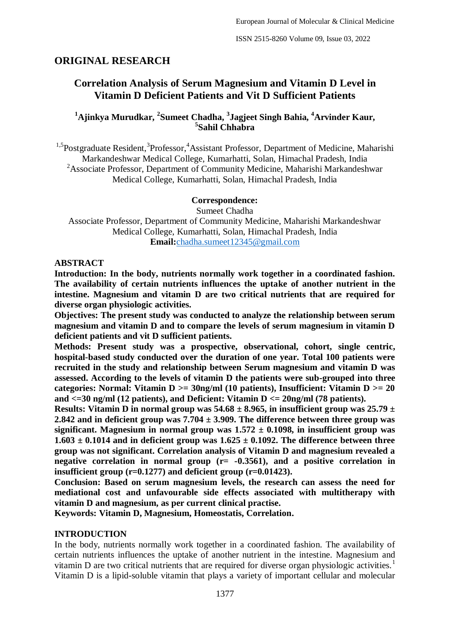## **ORIGINAL RESEARCH**

# **Correlation Analysis of Serum Magnesium and Vitamin D Level in Vitamin D Deficient Patients and Vit D Sufficient Patients**

## **<sup>1</sup>Ajinkya Murudkar, <sup>2</sup> Sumeet Chadha, <sup>3</sup> Jagjeet Singh Bahia, <sup>4</sup>Arvinder Kaur, 5 Sahil Chhabra**

<sup>1,5</sup>Postgraduate Resident,<sup>3</sup>Professor,<sup>4</sup>Assistant Professor, Department of Medicine, Maharishi Markandeshwar Medical College, Kumarhatti, Solan, Himachal Pradesh, India <sup>2</sup>Associate Professor, Department of Community Medicine, Maharishi Markandeshwar Medical College, Kumarhatti, Solan, Himachal Pradesh, India

#### **Correspondence:**

Sumeet Chadha

Associate Professor, Department of Community Medicine, Maharishi Markandeshwar Medical College, Kumarhatti, Solan, Himachal Pradesh, India **Email:**[chadha.sumeet12345@gmail.com](mailto:chadha.sumeet12345@gmail.com)

#### **ABSTRACT**

**Introduction: In the body, nutrients normally work together in a coordinated fashion. The availability of certain nutrients influences the uptake of another nutrient in the intestine. Magnesium and vitamin D are two critical nutrients that are required for diverse organ physiologic activities.** 

**Objectives: The present study was conducted to analyze the relationship between serum magnesium and vitamin D and to compare the levels of serum magnesium in vitamin D deficient patients and vit D sufficient patients.**

**Methods: Present study was a prospective, observational, cohort, single centric, hospital-based study conducted over the duration of one year. Total 100 patients were recruited in the study and relationship between Serum magnesium and vitamin D was assessed. According to the levels of vitamin D the patients were sub-grouped into three categories: Normal: Vitamin D >= 30ng/ml (10 patients), Insufficient: Vitamin D >= 20 and <=30 ng/ml (12 patients), and Deficient: Vitamin D <= 20ng/ml (78 patients).**

**Results:** Vitamin D in normal group was  $54.68 \pm 8.965$ , in insufficient group was  $25.79 \pm 1.00$ **2.842 and in deficient group was 7.704 ± 3.909. The difference between three group was**  significant. Magnesium in normal group was  $1.572 \pm 0.1098$ , in insufficient group was  $1.603 \pm 0.1014$  and in deficient group was  $1.625 \pm 0.1092$ . The difference between three **group was not significant. Correlation analysis of Vitamin D and magnesium revealed a negative correlation in normal group (r= -0.3561), and a positive correlation in insufficient group (r=0.1277) and deficient group (r=0.01423).**

**Conclusion: Based on serum magnesium levels, the research can assess the need for mediational cost and unfavourable side effects associated with multitherapy with vitamin D and magnesium, as per current clinical practise.**

**Keywords: Vitamin D, Magnesium, Homeostatis, Correlation.**

#### **INTRODUCTION**

In the body, nutrients normally work together in a coordinated fashion. The availability of certain nutrients influences the uptake of another nutrient in the intestine. Magnesium and vitamin D are two critical nutrients that are required for diverse organ physiologic activities.<sup>1</sup> Vitamin D is a lipid-soluble vitamin that plays a variety of important cellular and molecular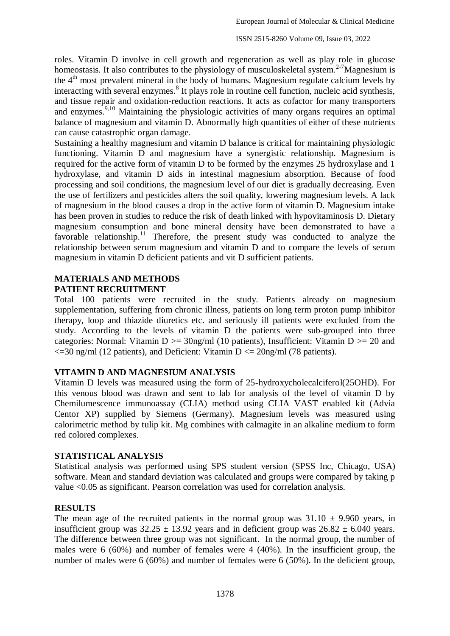roles. Vitamin D involve in cell growth and regeneration as well as play role in glucose homeostasis. It also contributes to the physiology of musculoskeletal system.<sup>2-7</sup>Magnesium is the  $4<sup>th</sup>$  most prevalent mineral in the body of humans. Magnesium regulate calcium levels by interacting with several enzymes.<sup>8</sup> It plays role in routine cell function, nucleic acid synthesis, and tissue repair and oxidation-reduction reactions. It acts as cofactor for many transporters and enzymes.<sup>9,10</sup> Maintaining the physiologic activities of many organs requires an optimal balance of magnesium and vitamin D. Abnormally high quantities of either of these nutrients can cause catastrophic organ damage.

Sustaining a healthy magnesium and vitamin D balance is critical for maintaining physiologic functioning. Vitamin D and magnesium have a synergistic relationship. Magnesium is required for the active form of vitamin D to be formed by the enzymes 25 hydroxylase and 1 hydroxylase, and vitamin D aids in intestinal magnesium absorption. Because of food processing and soil conditions, the magnesium level of our diet is gradually decreasing. Even the use of fertilizers and pesticides alters the soil quality, lowering magnesium levels. A lack of magnesium in the blood causes a drop in the active form of vitamin D. Magnesium intake has been proven in studies to reduce the risk of death linked with hypovitaminosis D. Dietary magnesium consumption and bone mineral density have been demonstrated to have a favorable relationship.<sup>11</sup> Therefore, the present study was conducted to analyze the relationship between serum magnesium and vitamin D and to compare the levels of serum magnesium in vitamin D deficient patients and vit D sufficient patients.

### **MATERIALS AND METHODS PATIENT RECRUITMENT**

Total 100 patients were recruited in the study. Patients already on magnesium supplementation, suffering from chronic illness, patients on long term proton pump inhibitor therapy, loop and thiazide diuretics etc. and seriously ill patients were excluded from the study. According to the levels of vitamin D the patients were sub-grouped into three categories: Normal: Vitamin  $D \ge 30$ ng/ml (10 patients), Insufficient: Vitamin  $D \ge 20$  and  $\leq$  =30 ng/ml (12 patients), and Deficient: Vitamin D  $\leq$  = 20ng/ml (78 patients).

### **VITAMIN D AND MAGNESIUM ANALYSIS**

Vitamin D levels was measured using the form of 25-hydroxycholecalciferol(25OHD). For this venous blood was drawn and sent to lab for analysis of the level of vitamin D by Chemilumescence immunoassay (CLIA) method using CLIA VAST enabled kit (Advia Centor XP) supplied by Siemens (Germany). Magnesium levels was measured using calorimetric method by tulip kit. Mg combines with calmagite in an alkaline medium to form red colored complexes.

#### **STATISTICAL ANALYSIS**

Statistical analysis was performed using SPS student version (SPSS Inc, Chicago, USA) software. Mean and standard deviation was calculated and groups were compared by taking p value <0.05 as significant. Pearson correlation was used for correlation analysis.

### **RESULTS**

The mean age of the recruited patients in the normal group was  $31.10 \pm 9.960$  years, in insufficient group was  $32.25 \pm 13.92$  years and in deficient group was  $26.82 \pm 6.040$  years. The difference between three group was not significant. In the normal group, the number of males were 6 (60%) and number of females were 4 (40%). In the insufficient group, the number of males were 6 (60%) and number of females were 6 (50%). In the deficient group,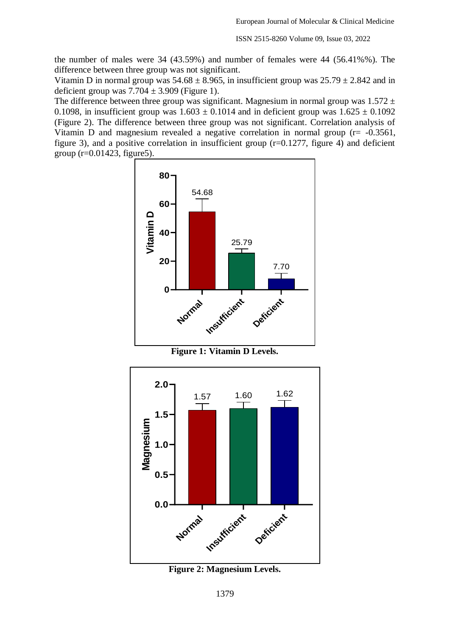ISSN 2515-8260 Volume 09, Issue 03, 2022

the number of males were 34 (43.59%) and number of females were 44 (56.41%%). The difference between three group was not significant.

Vitamin D in normal group was  $54.68 \pm 8.965$ , in insufficient group was  $25.79 \pm 2.842$  and in deficient group was  $7.704 \pm 3.909$  (Figure 1).

The difference between three group was significant. Magnesium in normal group was  $1.572 \pm$ 0.1098, in insufficient group was  $1.603 \pm 0.1014$  and in deficient group was  $1.625 \pm 0.1092$ (Figure 2). The difference between three group was not significant. Correlation analysis of Vitamin D and magnesium revealed a negative correlation in normal group (r= -0.3561, figure 3), and a positive correlation in insufficient group (r=0.1277, figure 4) and deficient group  $(r=0.01423,$  figure 5).



**Figure 1: Vitamin D Levels.**



**Figure 2: Magnesium Levels.**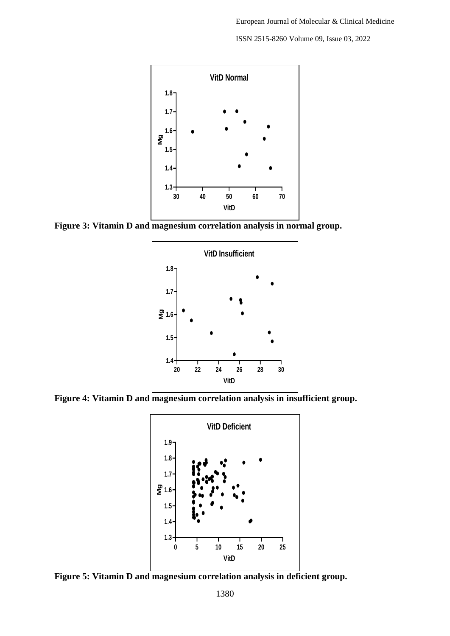ISSN 2515-8260 Volume 09, Issue 03, 2022



**Figure 3: Vitamin D and magnesium correlation analysis in normal group.**



**Figure 4: Vitamin D and magnesium correlation analysis in insufficient group.**



**Figure 5: Vitamin D and magnesium correlation analysis in deficient group.**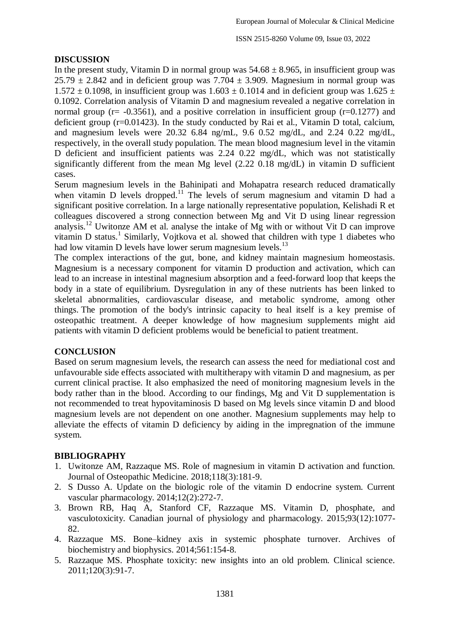### **DISCUSSION**

In the present study, Vitamin D in normal group was  $54.68 \pm 8.965$ , in insufficient group was  $25.79 \pm 2.842$  and in deficient group was  $7.704 \pm 3.909$ . Magnesium in normal group was  $1.572 \pm 0.1098$ , in insufficient group was  $1.603 \pm 0.1014$  and in deficient group was  $1.625 \pm 0.1014$ 0.1092. Correlation analysis of Vitamin D and magnesium revealed a negative correlation in normal group ( $r = -0.3561$ ), and a positive correlation in insufficient group ( $r = 0.1277$ ) and deficient group (r=0.01423). In the study conducted by Rai et al., Vitamin D total, calcium, and magnesium levels were 20.32 6.84 ng/mL, 9.6 0.52 mg/dL, and 2.24 0.22 mg/dL, respectively, in the overall study population. The mean blood magnesium level in the vitamin D deficient and insufficient patients was 2.24 0.22 mg/dL, which was not statistically significantly different from the mean Mg level (2.22 0.18 mg/dL) in vitamin D sufficient cases.

Serum magnesium levels in the Bahinipati and Mohapatra research reduced dramatically when vitamin D levels dropped.<sup>11</sup> The levels of serum magnesium and vitamin D had a significant positive correlation. In a large nationally representative population, Kelishadi R et colleagues discovered a strong connection between Mg and Vit D using linear regression analysis.<sup>12</sup> Uwitonze AM et al. analyse the intake of Mg with or without Vit D can improve vitamin D status.<sup>1</sup> Similarly, Vojtkova et al. showed that children with type 1 diabetes who had low vitamin D levels have lower serum magnesium levels. $^{13}$ 

The complex interactions of the gut, bone, and kidney maintain magnesium homeostasis. Magnesium is a necessary component for vitamin D production and activation, which can lead to an increase in intestinal magnesium absorption and a feed-forward loop that keeps the body in a state of equilibrium. Dysregulation in any of these nutrients has been linked to skeletal abnormalities, cardiovascular disease, and metabolic syndrome, among other things. The promotion of the body's intrinsic capacity to heal itself is a key premise of osteopathic treatment. A deeper knowledge of how magnesium supplements might aid patients with vitamin D deficient problems would be beneficial to patient treatment.

#### **CONCLUSION**

Based on serum magnesium levels, the research can assess the need for mediational cost and unfavourable side effects associated with multitherapy with vitamin D and magnesium, as per current clinical practise. It also emphasized the need of monitoring magnesium levels in the body rather than in the blood. According to our findings, Mg and Vit D supplementation is not recommended to treat hypovitaminosis D based on Mg levels since vitamin D and blood magnesium levels are not dependent on one another. Magnesium supplements may help to alleviate the effects of vitamin D deficiency by aiding in the impregnation of the immune system.

### **BIBLIOGRAPHY**

- 1. Uwitonze AM, Razzaque MS. Role of magnesium in vitamin D activation and function. Journal of Osteopathic Medicine. 2018;118(3):181-9.
- 2. S Dusso A. Update on the biologic role of the vitamin D endocrine system. Current vascular pharmacology. 2014;12(2):272-7.
- 3. Brown RB, Haq A, Stanford CF, Razzaque MS. Vitamin D, phosphate, and vasculotoxicity. Canadian journal of physiology and pharmacology. 2015;93(12):1077- 82.
- 4. Razzaque MS. Bone–kidney axis in systemic phosphate turnover. Archives of biochemistry and biophysics. 2014;561:154-8.
- 5. Razzaque MS. Phosphate toxicity: new insights into an old problem. Clinical science. 2011;120(3):91-7.